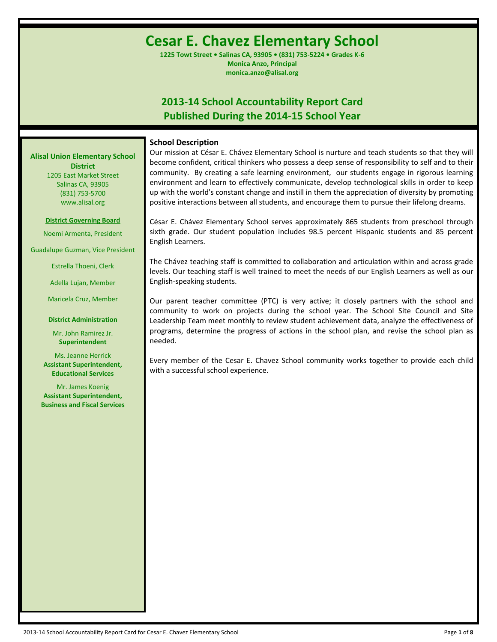# **Cesar E. Chavez Elementary School**

**1225 Towt Street • Salinas CA, 93905 • (831) 753-5224 • Grades K-6 Monica Anzo, Principal monica.anzo@alisal.org**

# **2013-14 School Accountability Report Card Published During the 2014-15 School Year**

# **School Description**

**Alisal Union Elementary School District** 1205 East Market Street

Salinas CA, 93905 (831) 753-5700 www.alisal.org

# **District Governing Board**

Noemi Armenta, President

Guadalupe Guzman, Vice President

Estrella Thoeni, Clerk

Adella Lujan, Member

Maricela Cruz, Member

# **District Administration**

Mr. John Ramirez Jr. **Superintendent**

Ms. Jeanne Herrick **Assistant Superintendent, Educational Services**

Mr. James Koenig **Assistant Superintendent, Business and Fiscal Services** Our mission at César E. Chávez Elementary School is nurture and teach students so that they will become confident, critical thinkers who possess a deep sense of responsibility to self and to their community. By creating a safe learning environment, our students engage in rigorous learning environment and learn to effectively communicate, develop technological skills in order to keep up with the world's constant change and instill in them the appreciation of diversity by promoting positive interactions between all students, and encourage them to pursue their lifelong dreams.

César E. Chávez Elementary School serves approximately 865 students from preschool through sixth grade. Our student population includes 98.5 percent Hispanic students and 85 percent English Learners.

The Chávez teaching staff is committed to collaboration and articulation within and across grade levels. Our teaching staff is well trained to meet the needs of our English Learners as well as our English-speaking students.

Our parent teacher committee (PTC) is very active; it closely partners with the school and community to work on projects during the school year. The School Site Council and Site Leadership Team meet monthly to review student achievement data, analyze the effectiveness of programs, determine the progress of actions in the school plan, and revise the school plan as needed.

Every member of the Cesar E. Chavez School community works together to provide each child with a successful school experience.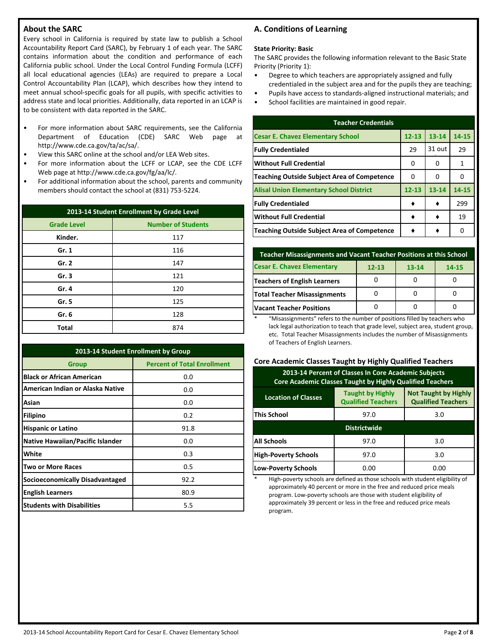# **About the SARC**

Every school in California is required by state law to publish a School Accountability Report Card (SARC), by February 1 of each year. The SARC contains information about the condition and performance of each California public school. Under the Local Control Funding Formula (LCFF) all local educational agencies (LEAs) are required to prepare a Local Control Accountability Plan (LCAP), which describes how they intend to meet annual school-specific goals for all pupils, with specific activities to address state and local priorities. Additionally, data reported in an LCAP is to be consistent with data reported in the SARC.

- For more information about SARC requirements, see the California Department of Education (CDE) SARC Web page at http://www.cde.ca.gov/ta/ac/sa/.
- View this SARC online at the school and/or LEA Web sites.
- For more information about the LCFF or LCAP, see the CDE LCFF Web page at http://www.cde.ca.gov/fg/aa/lc/.
- For additional information about the school, parents and community members should contact the school at (831) 753-5224.

| 2013-14 Student Enrollment by Grade Level |                           |  |  |  |  |
|-------------------------------------------|---------------------------|--|--|--|--|
| <b>Grade Level</b>                        | <b>Number of Students</b> |  |  |  |  |
| Kinder.                                   | 117                       |  |  |  |  |
| Gr. 1                                     | 116                       |  |  |  |  |
| Gr. 2                                     | 147                       |  |  |  |  |
| Gr.3                                      | 121                       |  |  |  |  |
| Gr. 4                                     | 120                       |  |  |  |  |
| Gr. 5                                     | 125                       |  |  |  |  |
| Gr. 6                                     | 128                       |  |  |  |  |
| <b>Total</b>                              | 874                       |  |  |  |  |

| 2013-14 Student Enrollment by Group     |                                    |  |  |  |  |
|-----------------------------------------|------------------------------------|--|--|--|--|
| Group                                   | <b>Percent of Total Enrollment</b> |  |  |  |  |
| <b>Black or African American</b>        | 0.0                                |  |  |  |  |
| American Indian or Alaska Native        | 0.0                                |  |  |  |  |
| Asian                                   | 0.0                                |  |  |  |  |
| <b>Filipino</b>                         | 0.2                                |  |  |  |  |
| <b>Hispanic or Latino</b>               | 91.8                               |  |  |  |  |
| <b>Native Hawaiian/Pacific Islander</b> | 0.0                                |  |  |  |  |
| White                                   | 0.3                                |  |  |  |  |
| <b>Two or More Races</b>                | 0.5                                |  |  |  |  |
| <b>Socioeconomically Disadvantaged</b>  | 92.2                               |  |  |  |  |
| <b>English Learners</b>                 | 80.9                               |  |  |  |  |
| <b>Students with Disabilities</b>       | 5.5                                |  |  |  |  |

# **A. Conditions of Learning**

#### **State Priority: Basic**

The SARC provides the following information relevant to the Basic State Priority (Priority 1):

- Degree to which teachers are appropriately assigned and fully credentialed in the subject area and for the pupils they are teaching;
- Pupils have access to standards-aligned instructional materials; and
- School facilities are maintained in good repair.

| <b>Teacher Credentials</b>                         |           |           |       |  |  |  |  |  |
|----------------------------------------------------|-----------|-----------|-------|--|--|--|--|--|
| <b>Cesar E. Chavez Elementary School</b>           | $12 - 13$ | $13 - 14$ | 14-15 |  |  |  |  |  |
| <b>Fully Credentialed</b>                          | 29        | 31 out    | 29    |  |  |  |  |  |
| lWithout Full Credential                           | O         | n         | 1     |  |  |  |  |  |
| <b>Teaching Outside Subject Area of Competence</b> | 0         | 0         | O     |  |  |  |  |  |
| <b>Alisal Union Elementary School District</b>     | $12 - 13$ | $13 - 14$ | 14-15 |  |  |  |  |  |
| <b>Fully Credentialed</b>                          |           |           | 299   |  |  |  |  |  |
| <b>Without Full Credential</b>                     |           |           | 19    |  |  |  |  |  |
| Teaching Outside Subject Area of Competence        |           |           | n     |  |  |  |  |  |

| <b>Teacher Misassignments and Vacant Teacher Positions at this School</b> |  |  |  |  |  |  |  |
|---------------------------------------------------------------------------|--|--|--|--|--|--|--|
| <b>Cesar E. Chavez Elementary</b><br>$12 - 13$<br>$13 - 14$<br>14-15      |  |  |  |  |  |  |  |
| Teachers of English Learners                                              |  |  |  |  |  |  |  |
| <b>Total Teacher Misassignments</b>                                       |  |  |  |  |  |  |  |
| <b>Vacant Teacher Positions</b>                                           |  |  |  |  |  |  |  |

\* "Misassignments" refers to the number of positions filled by teachers who lack legal authorization to teach that grade level, subject area, student group, etc. Total Teacher Misassignments includes the number of Misassignments of Teachers of English Learners.

# **Core Academic Classes Taught by Highly Qualified Teachers**

| 2013-14 Percent of Classes In Core Academic Subjects<br>Core Academic Classes Taught by Highly Qualified Teachers                              |             |      |  |  |  |  |
|------------------------------------------------------------------------------------------------------------------------------------------------|-------------|------|--|--|--|--|
| <b>Not Taught by Highly</b><br><b>Taught by Highly</b><br><b>Location of Classes</b><br><b>Qualified Teachers</b><br><b>Qualified Teachers</b> |             |      |  |  |  |  |
| <b>This School</b><br>97.0<br>3.0                                                                                                              |             |      |  |  |  |  |
| <b>Districtwide</b>                                                                                                                            |             |      |  |  |  |  |
| <b>All Schools</b>                                                                                                                             | 3.0<br>97.0 |      |  |  |  |  |
| <b>High-Poverty Schools</b><br>3.0<br>97.0                                                                                                     |             |      |  |  |  |  |
| <b>Low-Poverty Schools</b>                                                                                                                     | 0.00        | 0.00 |  |  |  |  |

High-poverty schools are defined as those schools with student eligibility of approximately 40 percent or more in the free and reduced price meals program. Low-poverty schools are those with student eligibility of approximately 39 percent or less in the free and reduced price meals program.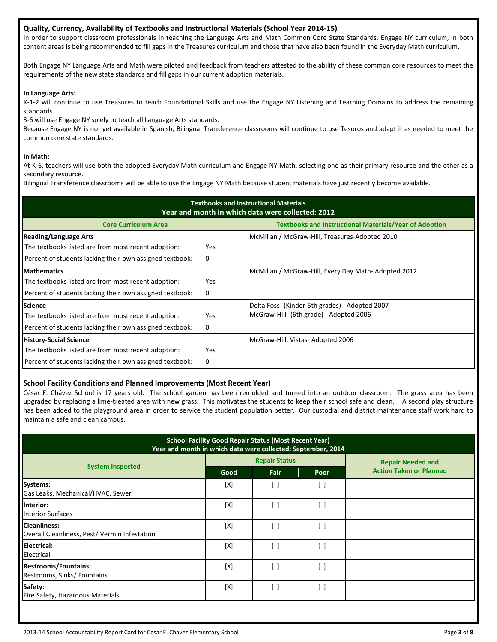# **Quality, Currency, Availability of Textbooks and Instructional Materials (School Year 2014-15)**

In order to support classroom professionals in teaching the Language Arts and Math Common Core State Standards, Engage NY curriculum, in both content areas is being recommended to fill gaps in the Treasures curriculum and those that have also been found in the Everyday Math curriculum.

Both Engage NY Language Arts and Math were piloted and feedback from teachers attested to the ability of these common core resources to meet the requirements of the new state standards and fill gaps in our current adoption materials.

# **In Language Arts:**

K-1-2 will continue to use Treasures to teach Foundational Skills and use the Engage NY Listening and Learning Domains to address the remaining standards.

3-6 will use Engage NY solely to teach all Language Arts standards.

Because Engage NY is not yet available in Spanish, Bilingual Transference classrooms will continue to use Tesoros and adapt it as needed to meet the common core state standards.

# **In Math:**

At K-6, teachers will use both the adopted Everyday Math curriculum and Engage NY Math, selecting one as their primary resource and the other as a secondary resource.

Bilingual Transference classrooms will be able to use the Engage NY Math because student materials have just recently become available.

| <b>Textbooks and Instructional Materials</b><br>Year and month in which data were collected: 2012 |            |                                                               |  |  |  |  |  |
|---------------------------------------------------------------------------------------------------|------------|---------------------------------------------------------------|--|--|--|--|--|
| <b>Core Curriculum Area</b>                                                                       |            | <b>Textbooks and Instructional Materials/Year of Adoption</b> |  |  |  |  |  |
| <b>Reading/Language Arts</b>                                                                      |            | McMillan / McGraw-Hill, Treasures-Adopted 2010                |  |  |  |  |  |
| The textbooks listed are from most recent adoption:                                               | <b>Yes</b> |                                                               |  |  |  |  |  |
| Percent of students lacking their own assigned textbook:                                          | 0          |                                                               |  |  |  |  |  |
| <b>Mathematics</b>                                                                                |            | McMillan / McGraw-Hill, Every Day Math-Adopted 2012           |  |  |  |  |  |
| The textbooks listed are from most recent adoption:                                               | Yes        |                                                               |  |  |  |  |  |
| Percent of students lacking their own assigned textbook:                                          | 0          |                                                               |  |  |  |  |  |
| <b>Science</b>                                                                                    |            | Delta Foss- (Kinder-5th grades) - Adopted 2007                |  |  |  |  |  |
| The textbooks listed are from most recent adoption:                                               | Yes        | McGraw-Hill- (6th grade) - Adopted 2006                       |  |  |  |  |  |
| Percent of students lacking their own assigned textbook:                                          | 0          |                                                               |  |  |  |  |  |
| <b>History-Social Science</b>                                                                     |            | McGraw-Hill, Vistas- Adopted 2006                             |  |  |  |  |  |
| The textbooks listed are from most recent adoption:                                               | Yes.       |                                                               |  |  |  |  |  |
| Percent of students lacking their own assigned textbook:                                          | 0          |                                                               |  |  |  |  |  |

# **School Facility Conditions and Planned Improvements (Most Recent Year)**

César E. Chávez School is 17 years old. The school garden has been remolded and turned into an outdoor classroom. The grass area has been upgraded by replacing a lime-treated area with new grass. This motivates the students to keep their school safe and clean. A second play structure has been added to the playground area in order to service the student population better. Our custodial and district maintenance staff work hard to maintain a safe and clean campus.

| <b>School Facility Good Repair Status (Most Recent Year)</b><br>Year and month in which data were collected: September, 2014 |      |                      |      |                                |  |  |
|------------------------------------------------------------------------------------------------------------------------------|------|----------------------|------|--------------------------------|--|--|
|                                                                                                                              |      | <b>Repair Status</b> |      | <b>Repair Needed and</b>       |  |  |
| <b>System Inspected</b>                                                                                                      | Good | Fair                 | Poor | <b>Action Taken or Planned</b> |  |  |
| <b>Systems:</b><br>Gas Leaks, Mechanical/HVAC, Sewer                                                                         | [X]  | [ ]                  | [ ]  |                                |  |  |
| Interior:<br><b>Interior Surfaces</b>                                                                                        | [X]  | - 1                  | ן ו  |                                |  |  |
| <b>Cleanliness:</b><br>Overall Cleanliness, Pest/ Vermin Infestation                                                         | [X]  | []                   | [ ]  |                                |  |  |
| Electrical:<br>Electrical                                                                                                    | [X]  | [ ]                  | ן ו  |                                |  |  |
| <b>Restrooms/Fountains:</b><br>Restrooms, Sinks/ Fountains                                                                   | [X]  | Ħ                    | [ ]  |                                |  |  |
| Safety:<br>Fire Safety, Hazardous Materials                                                                                  | [X]  | [ ]                  | [ ]  |                                |  |  |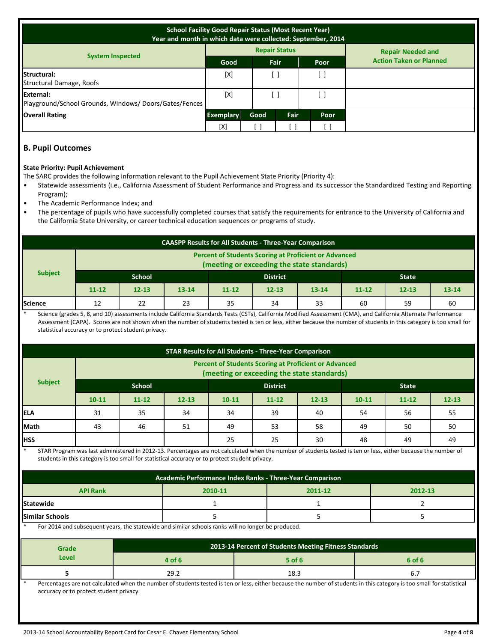| <b>School Facility Good Repair Status (Most Recent Year)</b><br>Year and month in which data were collected: September, 2014 |                  |      |                      |      |                                |  |
|------------------------------------------------------------------------------------------------------------------------------|------------------|------|----------------------|------|--------------------------------|--|
|                                                                                                                              |                  |      | <b>Repair Status</b> |      | <b>Repair Needed and</b>       |  |
| <b>System Inspected</b>                                                                                                      | Good             |      | Fair                 | Poor | <b>Action Taken or Planned</b> |  |
| Structural:<br>Structural Damage, Roofs                                                                                      | [X]              |      |                      |      |                                |  |
| External:<br>Playground/School Grounds, Windows/Doors/Gates/Fences                                                           | [X]              |      |                      |      |                                |  |
| <b>Overall Rating</b>                                                                                                        | <b>Exemplary</b> | Good | Fair<br>Poor         |      |                                |  |
|                                                                                                                              | [X]              |      |                      | L.   |                                |  |

# **B. Pupil Outcomes**

# **State Priority: Pupil Achievement**

The SARC provides the following information relevant to the Pupil Achievement State Priority (Priority 4):

- Statewide assessments (i.e., California Assessment of Student Performance and Progress and its successor the Standardized Testing and Reporting Program);
- The Academic Performance Index; and
- The percentage of pupils who have successfully completed courses that satisfy the requirements for entrance to the University of California and the California State University, or career technical education sequences or programs of study.

| <b>CAASPP Results for All Students - Three-Year Comparison</b>                                             |           |                           |           |           |           |           |              |           |           |
|------------------------------------------------------------------------------------------------------------|-----------|---------------------------|-----------|-----------|-----------|-----------|--------------|-----------|-----------|
| <b>Percent of Students Scoring at Proficient or Advanced</b><br>(meeting or exceeding the state standards) |           |                           |           |           |           |           |              |           |           |
| <b>Subject</b>                                                                                             |           | School<br><b>District</b> |           |           |           |           | <b>State</b> |           |           |
|                                                                                                            | $11 - 12$ | $12 - 13$                 | $13 - 14$ | $11 - 12$ | $12 - 13$ | $13 - 14$ | $11 - 12$    | $12 - 13$ | $13 - 14$ |
| Science                                                                                                    | 12        | 22                        | 23        | 35        | 34        | 33        | 60           | 59        | 60        |

Science (grades 5, 8, and 10) assessments include California Standards Tests (CSTs), California Modified Assessment (CMA), and California Alternate Performance Assessment (CAPA). Scores are not shown when the number of students tested is ten or less, either because the number of students in this category is too small for statistical accuracy or to protect student privacy.

| <b>STAR Results for All Students - Three-Year Comparison</b>                                               |                                  |           |           |           |           |           |              |           |           |
|------------------------------------------------------------------------------------------------------------|----------------------------------|-----------|-----------|-----------|-----------|-----------|--------------|-----------|-----------|
| <b>Percent of Students Scoring at Proficient or Advanced</b><br>(meeting or exceeding the state standards) |                                  |           |           |           |           |           |              |           |           |
| <b>Subject</b>                                                                                             | <b>School</b><br><b>District</b> |           |           |           |           |           | <b>State</b> |           |           |
|                                                                                                            | $10 - 11$                        | $11 - 12$ | $12 - 13$ | $10 - 11$ | $11 - 12$ | $12 - 13$ | $10 - 11$    | $11 - 12$ | $12 - 13$ |
| <b>IELA</b>                                                                                                | 31                               | 35        | 34        | 34        | 39        | 40        | 54           | 56        | 55        |
| Math                                                                                                       | 43                               | 46        | 51        | 49        | 53        | 58        | 49           | 50        | 50        |
| <b>HSS</b>                                                                                                 |                                  |           |           | 25        | 25        | 30        | 48           | 49        | 49        |

STAR Program was last administered in 2012-13. Percentages are not calculated when the number of students tested is ten or less, either because the number of students in this category is too small for statistical accuracy or to protect student privacy.

| Academic Performance Index Ranks - Three-Year Comparison |  |  |  |  |  |  |
|----------------------------------------------------------|--|--|--|--|--|--|
| <b>API Rank</b><br>2010-11<br>2012-13<br>2011-12         |  |  |  |  |  |  |
| Statewide                                                |  |  |  |  |  |  |
| <b>Similar Schools</b>                                   |  |  |  |  |  |  |

For 2014 and subsequent years, the statewide and similar schools ranks will no longer be produced.

| Grade | 2013-14 Percent of Students Meeting Fitness Standards |          |        |  |  |
|-------|-------------------------------------------------------|----------|--------|--|--|
| Level | 4 of 6                                                | $5$ of 6 | 6 of 6 |  |  |
|       | 29.2                                                  | 18.3     | U.     |  |  |

Percentages are not calculated when the number of students tested is ten or less, either because the number of students in this category is too small for statistical accuracy or to protect student privacy.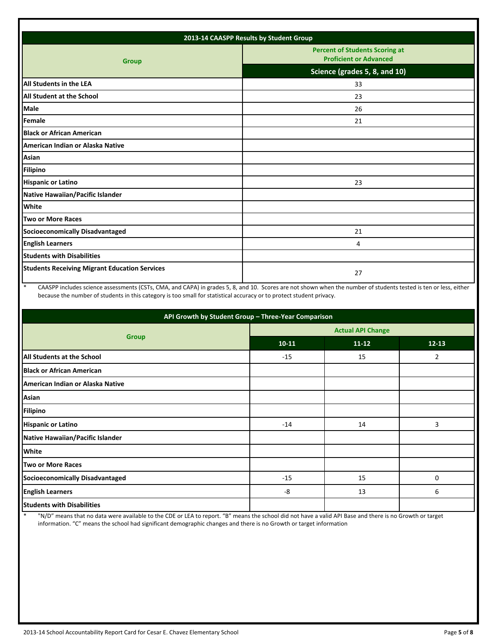| 2013-14 CAASPP Results by Student Group              |                                                                        |  |  |  |  |
|------------------------------------------------------|------------------------------------------------------------------------|--|--|--|--|
| <b>Group</b>                                         | <b>Percent of Students Scoring at</b><br><b>Proficient or Advanced</b> |  |  |  |  |
|                                                      | Science (grades 5, 8, and 10)                                          |  |  |  |  |
| All Students in the LEA                              | 33                                                                     |  |  |  |  |
| <b>All Student at the School</b>                     | 23                                                                     |  |  |  |  |
| <b>Male</b>                                          | 26                                                                     |  |  |  |  |
| Female                                               | 21                                                                     |  |  |  |  |
| <b>Black or African American</b>                     |                                                                        |  |  |  |  |
| American Indian or Alaska Native                     |                                                                        |  |  |  |  |
| Asian                                                |                                                                        |  |  |  |  |
| <b>Filipino</b>                                      |                                                                        |  |  |  |  |
| <b>Hispanic or Latino</b>                            | 23                                                                     |  |  |  |  |
| Native Hawaiian/Pacific Islander                     |                                                                        |  |  |  |  |
| <b>White</b>                                         |                                                                        |  |  |  |  |
| Two or More Races                                    |                                                                        |  |  |  |  |
| <b>Socioeconomically Disadvantaged</b>               | 21                                                                     |  |  |  |  |
| <b>English Learners</b>                              | 4                                                                      |  |  |  |  |
| <b>Students with Disabilities</b>                    |                                                                        |  |  |  |  |
| <b>Students Receiving Migrant Education Services</b> | 27                                                                     |  |  |  |  |

\* CAASPP includes science assessments (CSTs, CMA, and CAPA) in grades 5, 8, and 10. Scores are not shown when the number of students tested is ten or less, either because the number of students in this category is too small for statistical accuracy or to protect student privacy.

| API Growth by Student Group - Three-Year Comparison |                          |           |           |  |  |
|-----------------------------------------------------|--------------------------|-----------|-----------|--|--|
|                                                     | <b>Actual API Change</b> |           |           |  |  |
| <b>Group</b>                                        | $10 - 11$                | $11 - 12$ | $12 - 13$ |  |  |
| <b>All Students at the School</b>                   | $-15$                    | 15        | 2         |  |  |
| <b>Black or African American</b>                    |                          |           |           |  |  |
| American Indian or Alaska Native                    |                          |           |           |  |  |
| Asian                                               |                          |           |           |  |  |
| <b>Filipino</b>                                     |                          |           |           |  |  |
| <b>Hispanic or Latino</b>                           | $-14$                    | 14        | 3         |  |  |
| Native Hawaiian/Pacific Islander                    |                          |           |           |  |  |
| <b>White</b>                                        |                          |           |           |  |  |
| <b>Two or More Races</b>                            |                          |           |           |  |  |
| Socioeconomically Disadvantaged                     | $-15$                    | 15        | $\Omega$  |  |  |
| <b>English Learners</b>                             | -8                       | 13        | 6         |  |  |
| <b>Students with Disabilities</b>                   |                          |           |           |  |  |

\* "N/D" means that no data were available to the CDE or LEA to report. "B" means the school did not have a valid API Base and there is no Growth or target information. "C" means the school had significant demographic changes and there is no Growth or target information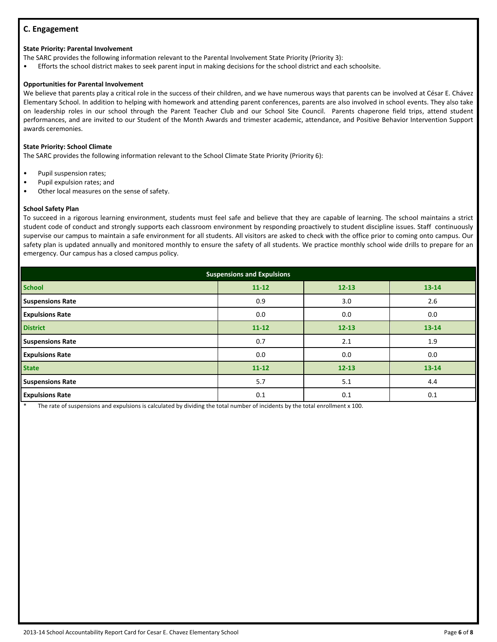# **C. Engagement**

#### **State Priority: Parental Involvement**

The SARC provides the following information relevant to the Parental Involvement State Priority (Priority 3):

• Efforts the school district makes to seek parent input in making decisions for the school district and each schoolsite.

#### **Opportunities for Parental Involvement**

We believe that parents play a critical role in the success of their children, and we have numerous ways that parents can be involved at César E. Chávez Elementary School. In addition to helping with homework and attending parent conferences, parents are also involved in school events. They also take on leadership roles in our school through the Parent Teacher Club and our School Site Council. Parents chaperone field trips, attend student performances, and are invited to our Student of the Month Awards and trimester academic, attendance, and Positive Behavior Intervention Support awards ceremonies.

#### **State Priority: School Climate**

The SARC provides the following information relevant to the School Climate State Priority (Priority 6):

- Pupil suspension rates;
- Pupil expulsion rates; and
- Other local measures on the sense of safety.

#### **School Safety Plan**

To succeed in a rigorous learning environment, students must feel safe and believe that they are capable of learning. The school maintains a strict student code of conduct and strongly supports each classroom environment by responding proactively to student discipline issues. Staff continuously supervise our campus to maintain a safe environment for all students. All visitors are asked to check with the office prior to coming onto campus. Our safety plan is updated annually and monitored monthly to ensure the safety of all students. We practice monthly school wide drills to prepare for an emergency. Our campus has a closed campus policy.

| <b>Suspensions and Expulsions</b> |           |           |           |  |  |
|-----------------------------------|-----------|-----------|-----------|--|--|
| <b>School</b>                     | $11 - 12$ | $12 - 13$ | 13-14     |  |  |
| <b>Suspensions Rate</b>           | 0.9       | 3.0       | 2.6       |  |  |
| <b>Expulsions Rate</b>            | 0.0       | 0.0       | 0.0       |  |  |
| <b>District</b>                   | $11 - 12$ | $12 - 13$ | $13 - 14$ |  |  |
| <b>Suspensions Rate</b>           | 0.7       | 2.1       | 1.9       |  |  |
| <b>Expulsions Rate</b>            | 0.0       | 0.0       | 0.0       |  |  |
| <b>State</b>                      | $11 - 12$ | $12 - 13$ | 13-14     |  |  |
| <b>Suspensions Rate</b>           | 5.7       | 5.1       | 4.4       |  |  |
| <b>Expulsions Rate</b>            | 0.1       | 0.1       | 0.1       |  |  |

The rate of suspensions and expulsions is calculated by dividing the total number of incidents by the total enrollment x 100.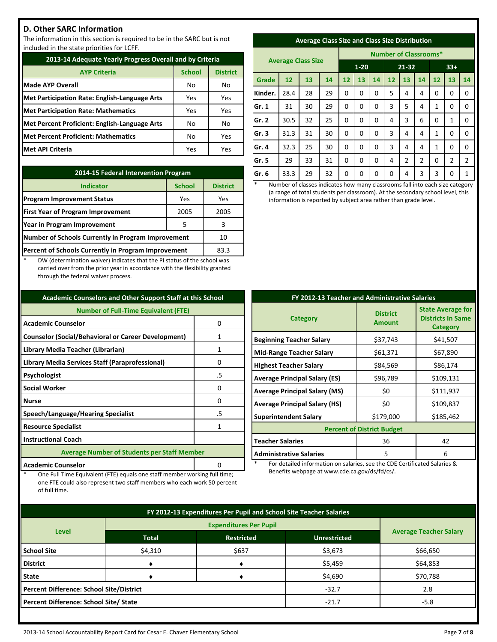# **D. Other SARC Information**

The information in this section is required to be in the SARC but is not included in the state priorities for LCFF.

| 2013-14 Adequate Yearly Progress Overall and by Criteria |               |                 |  |  |
|----------------------------------------------------------|---------------|-----------------|--|--|
| <b>AYP Criteria</b>                                      | <b>School</b> | <b>District</b> |  |  |
| <b>Made AYP Overall</b>                                  | No            | No              |  |  |
| <b>Met Participation Rate: English-Language Arts</b>     | Yes           | Yes             |  |  |
| <b>Met Participation Rate: Mathematics</b>               | Yes           | Yes             |  |  |
| Met Percent Proficient: English-Language Arts            | No            | No              |  |  |
| <b>Met Percent Proficient: Mathematics</b>               | No            | Yes             |  |  |
| <b>Met API Criteria</b>                                  | Yes           | Yes             |  |  |

| 2014-15 Federal Intervention Program                |                 |     |  |  |
|-----------------------------------------------------|-----------------|-----|--|--|
| <b>Indicator</b>                                    | <b>District</b> |     |  |  |
| <b>Program Improvement Status</b>                   | Yes             | Yes |  |  |
| <b>First Year of Program Improvement</b>            | 2005            |     |  |  |
| Year in Program Improvement                         | 3               |     |  |  |
| Number of Schools Currently in Program Improvement  | 10              |     |  |  |
| Percent of Schools Currently in Program Improvement | 83.3            |     |  |  |

DW (determination waiver) indicates that the PI status of the school was carried over from the prior year in accordance with the flexibility granted through the federal waiver process.

| <b>Academic Counselors and Other Support Staff at this School</b> |    |  |  |  |
|-------------------------------------------------------------------|----|--|--|--|
| <b>Number of Full-Time Equivalent (FTE)</b>                       |    |  |  |  |
| <b>Academic Counselor</b><br>0                                    |    |  |  |  |
| <b>Counselor (Social/Behavioral or Career Development)</b>        | 1  |  |  |  |
| Library Media Teacher (Librarian)                                 | 1  |  |  |  |
| Library Media Services Staff (Paraprofessional)<br>Ω              |    |  |  |  |
| Psychologist                                                      | .5 |  |  |  |
| <b>Social Worker</b>                                              | 0  |  |  |  |
| <b>Nurse</b>                                                      | n  |  |  |  |
| Speech/Language/Hearing Specialist                                | .5 |  |  |  |
| <b>Resource Specialist</b><br>1                                   |    |  |  |  |
| <b>Instructional Coach</b>                                        |    |  |  |  |
| <b>Average Number of Students per Staff Member</b>                |    |  |  |  |
| <b>Academic Counselor</b>                                         |    |  |  |  |

One Full Time Equivalent (FTE) equals one staff member working full time; one FTE could also represent two staff members who each work 50 percent

of full time.

| <b>Average Class Size and Class Size Distribution</b> |  |  |
|-------------------------------------------------------|--|--|
|                                                       |  |  |

|         | <b>Average Class Size</b> |    |    |          | <b>Number of Classrooms*</b> |           |    |       |    |    |                |                |
|---------|---------------------------|----|----|----------|------------------------------|-----------|----|-------|----|----|----------------|----------------|
|         |                           |    |    | $1 - 20$ |                              | $21 - 32$ |    | $33+$ |    |    |                |                |
| Grade   | 12                        | 13 | 14 | 12       | 13                           | 14        | 12 | 13    | 14 | 12 | 13             | 14             |
| Kinder. | 28.4                      | 28 | 29 | 0        | 0                            | 0         | 5  | 4     | 4  | 0  | 0              | $\Omega$       |
| Gr. 1   | 31                        | 30 | 29 | 0        | 0                            | 0         | 3  | 5     | 4  | 1  | 0              | 0              |
| Gr. 2   | 30.5                      | 32 | 25 | 0        | 0                            | 0         | 4  | 3     | 6  | 0  | 1              | $\Omega$       |
| Gr. $3$ | 31.3                      | 31 | 30 | 0        | 0                            | 0         | 3  | 4     | 4  | 1  | 0              | $\Omega$       |
| Gr. 4   | 32.3                      | 25 | 30 | 0        | 0                            | 0         | 3  | 4     | 4  | 1  | 0              | 0              |
| Gr. 5   | 29                        | 33 | 31 | 0        | 0                            | 0         | 4  | 2     | 2  | 0  | $\overline{2}$ | $\overline{2}$ |
| Gr. 6   | 33.3                      | 29 | 32 | 0        | 0                            | 0         | 0  | 4     | 3  | 3  | 0              | 1              |

Number of classes indicates how many classrooms fall into each size category (a range of total students per classroom). At the secondary school level, this information is reported by subject area rather than grade level.

| FY 2012-13 Teacher and Administrative Salaries |                                  |                                                                         |  |  |  |
|------------------------------------------------|----------------------------------|-------------------------------------------------------------------------|--|--|--|
| <b>Category</b>                                | <b>District</b><br><b>Amount</b> | <b>State Average for</b><br><b>Districts In Same</b><br><b>Category</b> |  |  |  |
| <b>Beginning Teacher Salary</b>                | \$37,743                         | \$41,507                                                                |  |  |  |
| <b>Mid-Range Teacher Salary</b>                | \$61,371                         | \$67,890                                                                |  |  |  |
| <b>Highest Teacher Salary</b>                  | \$84,569                         | \$86,174                                                                |  |  |  |
| <b>Average Principal Salary (ES)</b>           | \$96,789                         | \$109,131                                                               |  |  |  |
| <b>Average Principal Salary (MS)</b>           | \$0                              | \$111,937                                                               |  |  |  |
| <b>Average Principal Salary (HS)</b>           | \$0                              | \$109,837                                                               |  |  |  |
| <b>Superintendent Salary</b>                   | \$179,000                        | \$185,462                                                               |  |  |  |
| <b>Percent of District Budget</b>              |                                  |                                                                         |  |  |  |
| <b>Teacher Salaries</b>                        | 36                               | 42                                                                      |  |  |  |
| <b>Administrative Salaries</b>                 | 5                                | 6                                                                       |  |  |  |

For detailed information on salaries, see the CDE Certificated Salaries & Benefits webpage at www.cde.ca.gov/ds/fd/cs/.

| FY 2012-13 Expenditures Per Pupil and School Site Teacher Salaries |                                                                          |       |         |          |  |  |
|--------------------------------------------------------------------|--------------------------------------------------------------------------|-------|---------|----------|--|--|
|                                                                    | <b>Average Teacher Salary</b>                                            |       |         |          |  |  |
|                                                                    | <b>Level</b><br><b>Restricted</b><br><b>Total</b><br><b>Unrestricted</b> |       |         |          |  |  |
| <b>School Site</b>                                                 | \$4,310                                                                  | \$637 | \$3,673 | \$66,650 |  |  |
| <b>District</b>                                                    |                                                                          |       | \$5,459 | \$64,853 |  |  |
| <b>State</b>                                                       |                                                                          |       | \$4,690 | \$70,788 |  |  |
| <b>Percent Difference: School Site/District</b>                    |                                                                          |       | $-32.7$ | 2.8      |  |  |
| Percent Difference: School Site/ State                             |                                                                          |       | $-21.7$ | $-5.8$   |  |  |